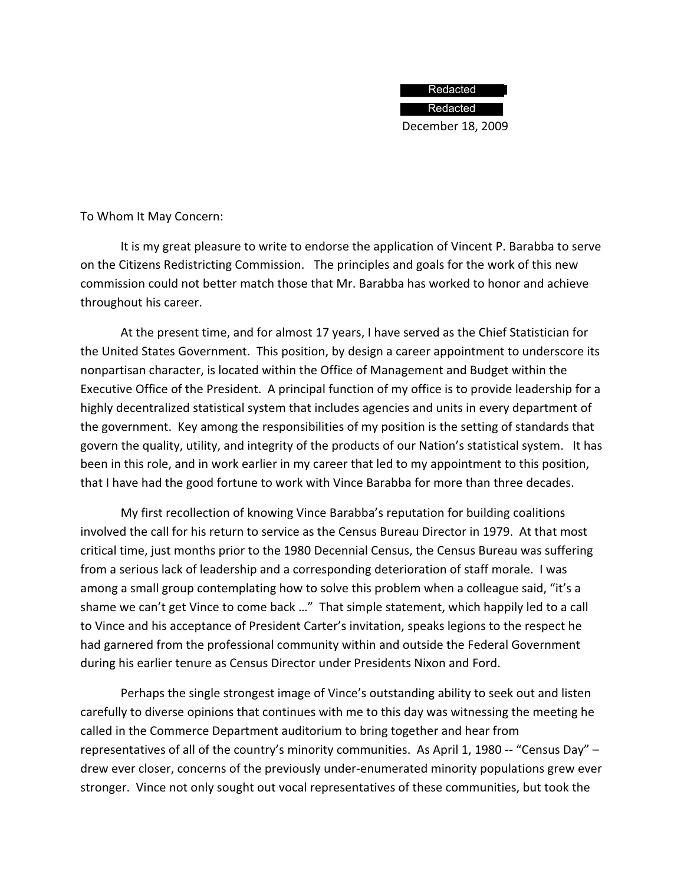## Redacted

December 18, 2009 Redacted

To Whom It May Concern:

It is my great pleasure to write to endorse the application of Vincent P. Barabba to serve on the Citizens Redistricting Commission. The principles and goals for the work of this new commission could not better match those that Mr. Barabba has worked to honor and achieve throughout his career.

At the present time, and for almost 17 years, I have served as the Chief Statistician for the United States Government. This position, by design a career appointment to underscore its nonpartisan character, is located within the Office of Management and Budget within the Executive Office of the President. A principal function of my office is to provide leadership for a highly decentralized statistical system that includes agencies and units in every department of the government. Key among the responsibilities of my position is the setting of standards that govern the quality, utility, and integrity of the products of our Nation's statistical system. It has been in this role, and in work earlier in my career that led to my appointment to this position, that I have had the good fortune to work with Vince Barabba for more than three decades.

My first recollection of knowing Vince Barabba's reputation for building coalitions involved the call for his return to service as the Census Bureau Director in 1979. At that most critical time, just months prior to the 1980 Decennial Census, the Census Bureau was suffering from a serious lack of leadership and a corresponding deterioration of staff morale. I was among a small group contemplating how to solve this problem when a colleague said, "it's a shame we can't get Vince to come back …" That simple statement, which happily led to a call to Vince and his acceptance of President Carter's invitation, speaks legions to the respect he had garnered from the professional community within and outside the Federal Government during his earlier tenure as Census Director under Presidents Nixon and Ford.

Perhaps the single strongest image of Vince's outstanding ability to seek out and listen carefully to diverse opinions that continues with me to this day was witnessing the meeting he called in the Commerce Department auditorium to bring together and hear from representatives of all of the country's minority communities. As April 1, 1980 -- "Census Day"  $$ drew ever closer, concerns of the previously under-enumerated minority populations grew ever stronger. Vince not only sought out vocal representatives of these communities, but took the